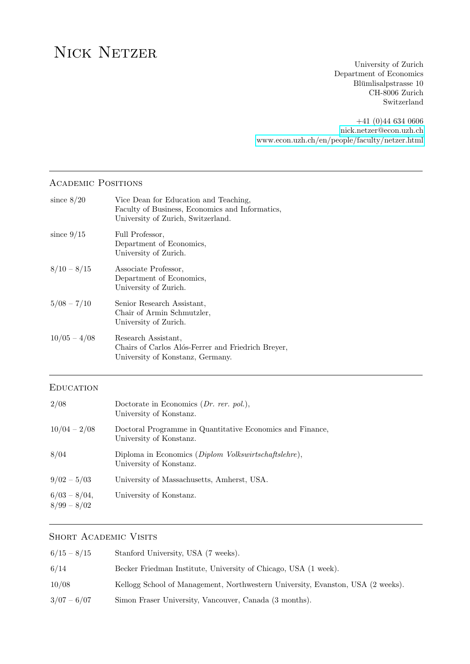# NICK NETZER

University of Zurich Department of Economics Blümlisalpstrasse 10 CH-8006 Zurich Switzerland

+41 (0)44 634 0606 [nick.netzer@econ.uzh.ch](mailto:nick.netzer@econ.uzh.ch) <www.econ.uzh.ch/en/people/faculty/netzer.html>

## Academic Positions

| since $8/20$     | Vice Dean for Education and Teaching,<br>Faculty of Business, Economics and Informatics,<br>University of Zurich, Switzerland. |
|------------------|--------------------------------------------------------------------------------------------------------------------------------|
| since $9/15$     | Full Professor,<br>Department of Economics,<br>University of Zurich.                                                           |
| $8/10 - 8/15$    | Associate Professor,<br>Department of Economics,<br>University of Zurich.                                                      |
| $5/08 - 7/10$    | Senior Research Assistant,<br>Chair of Armin Schmutzler,<br>University of Zurich.                                              |
| $10/05 - 4/08$   | Research Assistant,<br>Chairs of Carlos Alós-Ferrer and Friedrich Breyer,<br>University of Konstanz, Germany.                  |
| <b>EDUCATION</b> |                                                                                                                                |
| 2/08             | Doctorate in Economics $(Dr. \, r$ er. pol.),<br>University of Konstanz.                                                       |
| $10/04 - 2/08$   | Doctoral Programme in Quantitative Economics and Finance,                                                                      |
|                  | University of Konstanz.                                                                                                        |

- 9/02 5/03 University of Massachusetts, Amherst, USA.
- $6/03 8/04$ , University of Konstanz. 8/99 – 8/02

## SHORT ACADEMIC VISITS

| $6/15 - 8/15$ | Stanford University, USA (7 weeks).                                             |
|---------------|---------------------------------------------------------------------------------|
| 6/14          | Becker Friedman Institute, University of Chicago, USA (1 week).                 |
| 10/08         | Kellogg School of Management, Northwestern University, Evanston, USA (2 weeks). |
| $3/07 - 6/07$ | Simon Fraser University, Vancouver, Canada (3 months).                          |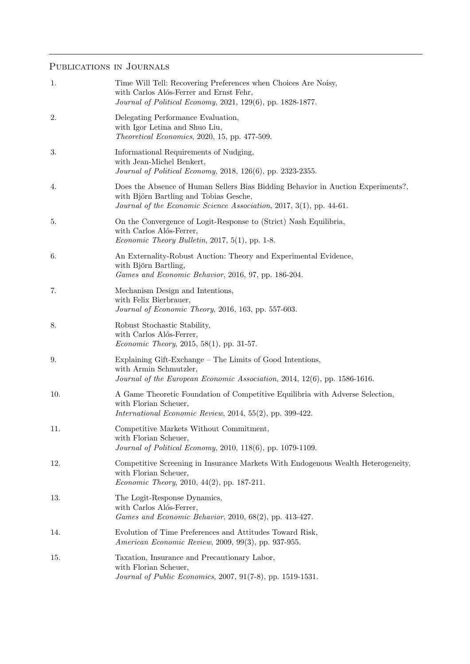# PUBLICATIONS IN JOURNALS

| 1.  | Time Will Tell: Recovering Preferences when Choices Are Noisy,<br>with Carlos Alós-Ferrer and Ernst Fehr,<br>Journal of Political Economy, 2021, 129(6), pp. 1828-1877.                           |
|-----|---------------------------------------------------------------------------------------------------------------------------------------------------------------------------------------------------|
| 2.  | Delegating Performance Evaluation,<br>with Igor Letina and Shuo Liu,<br>Theoretical Economics, 2020, 15, pp. 477-509.                                                                             |
| 3.  | Informational Requirements of Nudging,<br>with Jean-Michel Benkert,<br>Journal of Political Economy, 2018, 126(6), pp. 2323-2355.                                                                 |
| 4.  | Does the Absence of Human Sellers Bias Bidding Behavior in Auction Experiments?,<br>with Björn Bartling and Tobias Gesche,<br>Journal of the Economic Science Association, 2017, 3(1), pp. 44-61. |
| 5.  | On the Convergence of Logit-Response to (Strict) Nash Equilibria,<br>with Carlos Alós-Ferrer,<br>Economic Theory Bulletin, 2017, 5(1), pp. 1-8.                                                   |
| 6.  | An Externality-Robust Auction: Theory and Experimental Evidence,<br>with Björn Bartling,<br>Games and Economic Behavior, 2016, 97, pp. 186-204.                                                   |
| 7.  | Mechanism Design and Intentions,<br>with Felix Bierbrauer,<br>Journal of Economic Theory, 2016, 163, pp. 557-603.                                                                                 |
| 8.  | Robust Stochastic Stability,<br>with Carlos Alós-Ferrer,<br><i>Economic Theory</i> , 2015, 58(1), pp. 31-57.                                                                                      |
| 9.  | Explaining Gift-Exchange – The Limits of Good Intentions,<br>with Armin Schmutzler,<br>Journal of the European Economic Association, 2014, 12(6), pp. 1586-1616.                                  |
| 10. | A Game Theoretic Foundation of Competitive Equilibria with Adverse Selection,<br>with Florian Scheuer,<br>International Economic Review, 2014, 55(2), pp. 399-422.                                |
| 11. | Competitive Markets Without Commitment,<br>with Florian Scheuer,<br>Journal of Political Economy, 2010, 118(6), pp. 1079-1109.                                                                    |
| 12. | Competitive Screening in Insurance Markets With Endogenous Wealth Heterogeneity,<br>with Florian Scheuer,<br><i>Economic Theory</i> , 2010, 44(2), pp. 187-211.                                   |
| 13. | The Logit-Response Dynamics,<br>with Carlos Alós-Ferrer,<br>Games and Economic Behavior, 2010, 68(2), pp. 413-427.                                                                                |
| 14. | Evolution of Time Preferences and Attitudes Toward Risk,<br>American Economic Review, 2009, 99(3), pp. 937-955.                                                                                   |
| 15. | Taxation, Insurance and Precautionary Labor,<br>with Florian Scheuer,<br>Journal of Public Economics, 2007, 91(7-8), pp. 1519-1531.                                                               |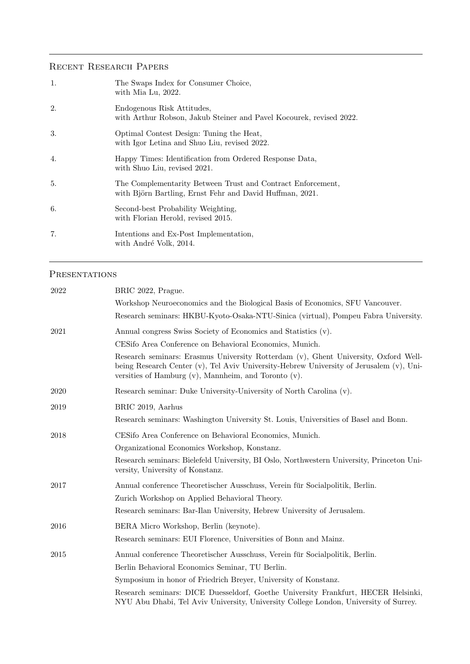# Recent Research Papers

| 1. | The Swaps Index for Consumer Choice,<br>with Mia Lu, 2022.                                                              |
|----|-------------------------------------------------------------------------------------------------------------------------|
| 2. | Endogenous Risk Attitudes,<br>with Arthur Robson, Jakub Steiner and Pavel Kocourek, revised 2022.                       |
| 3. | Optimal Contest Design: Tuning the Heat,<br>with Igor Letina and Shuo Liu, revised 2022.                                |
| 4. | Happy Times: Identification from Ordered Response Data,<br>with Shuo Liu, revised 2021.                                 |
| 5. | The Complementarity Between Trust and Contract Enforcement,<br>with Björn Bartling, Ernst Fehr and David Huffman, 2021. |
| 6. | Second-best Probability Weighting,<br>with Florian Herold, revised 2015.                                                |
| 7. | Intentions and Ex-Post Implementation,<br>with André Volk, 2014.                                                        |

## PRESENTATIONS

| 2022 | BRIC 2022, Prague.                                                                                                                                                                                                                                 |
|------|----------------------------------------------------------------------------------------------------------------------------------------------------------------------------------------------------------------------------------------------------|
|      | Workshop Neuroeconomics and the Biological Basis of Economics, SFU Vancouver.                                                                                                                                                                      |
|      | Research seminars: HKBU-Kyoto-Osaka-NTU-Sinica (virtual), Pompeu Fabra University.                                                                                                                                                                 |
| 2021 | Annual congress Swiss Society of Economics and Statistics (v).                                                                                                                                                                                     |
|      | CESifo Area Conference on Behavioral Economics, Munich.                                                                                                                                                                                            |
|      | Research seminars: Erasmus University Rotterdam (v), Ghent University, Oxford Well-<br>being Research Center $(v)$ , Tel Aviv University-Hebrew University of Jerusalem $(v)$ , Uni-<br>versities of Hamburg $(v)$ , Mannheim, and Toronto $(v)$ . |
| 2020 | Research seminar: Duke University-University of North Carolina (v).                                                                                                                                                                                |
| 2019 | BRIC 2019, Aarhus                                                                                                                                                                                                                                  |
|      | Research seminars: Washington University St. Louis, Universities of Basel and Bonn.                                                                                                                                                                |
| 2018 | CESifo Area Conference on Behavioral Economics, Munich.                                                                                                                                                                                            |
|      | Organizational Economics Workshop, Konstanz.                                                                                                                                                                                                       |
|      | Research seminars: Bielefeld University, BI Oslo, Northwestern University, Princeton Uni-<br>versity, University of Konstanz.                                                                                                                      |
| 2017 | Annual conference Theoretischer Ausschuss, Verein für Socialpolitik, Berlin.                                                                                                                                                                       |
|      | Zurich Workshop on Applied Behavioral Theory.                                                                                                                                                                                                      |
|      | Research seminars: Bar-Ilan University, Hebrew University of Jerusalem.                                                                                                                                                                            |
| 2016 | BERA Micro Workshop, Berlin (keynote).                                                                                                                                                                                                             |
|      | Research seminars: EUI Florence, Universities of Bonn and Mainz.                                                                                                                                                                                   |
| 2015 | Annual conference Theoretischer Ausschuss, Verein für Socialpolitik, Berlin.                                                                                                                                                                       |
|      | Berlin Behavioral Economics Seminar, TU Berlin.                                                                                                                                                                                                    |
|      | Symposium in honor of Friedrich Breyer, University of Konstanz.                                                                                                                                                                                    |
|      | Research seminars: DICE Duesseldorf, Goethe University Frankfurt, HECER Helsinki,<br>NYU Abu Dhabi, Tel Aviv University, University College London, University of Surrey.                                                                          |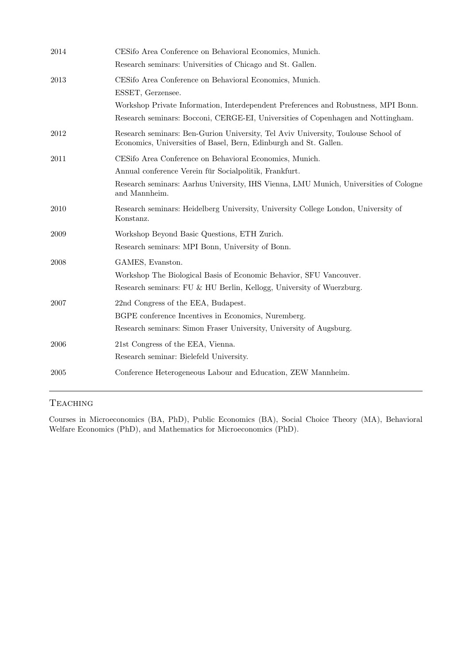| 2014 | CESifo Area Conference on Behavioral Economics, Munich.<br>Research seminars: Universities of Chicago and St. Gallen.                                                                                                                                  |
|------|--------------------------------------------------------------------------------------------------------------------------------------------------------------------------------------------------------------------------------------------------------|
| 2013 | CESifo Area Conference on Behavioral Economics, Munich.<br>ESSET, Gerzensee.<br>Workshop Private Information, Interdependent Preferences and Robustness, MPI Bonn.<br>Research seminars: Bocconi, CERGE-EI, Universities of Copenhagen and Nottingham. |
| 2012 | Research seminars: Ben-Gurion University, Tel Aviv University, Toulouse School of<br>Economics, Universities of Basel, Bern, Edinburgh and St. Gallen.                                                                                                 |
| 2011 | CESifo Area Conference on Behavioral Economics, Munich.<br>Annual conference Verein für Socialpolitik, Frankfurt.<br>Research seminars: Aarhus University, IHS Vienna, LMU Munich, Universities of Cologne<br>and Mannheim.                            |
| 2010 | Research seminars: Heidelberg University, University College London, University of<br>Konstanz.                                                                                                                                                        |
| 2009 | Workshop Beyond Basic Questions, ETH Zurich.<br>Research seminars: MPI Bonn, University of Bonn.                                                                                                                                                       |
| 2008 | GAMES, Evanston.<br>Workshop The Biological Basis of Economic Behavior, SFU Vancouver.<br>Research seminars: FU & HU Berlin, Kellogg, University of Wuerzburg.                                                                                         |
| 2007 | 22nd Congress of the EEA, Budapest.<br>BGPE conference Incentives in Economics, Nuremberg.<br>Research seminars: Simon Fraser University, University of Augsburg.                                                                                      |
| 2006 | 21st Congress of the EEA, Vienna.<br>Research seminar: Bielefeld University.                                                                                                                                                                           |
| 2005 | Conference Heterogeneous Labour and Education, ZEW Mannheim.                                                                                                                                                                                           |

## **TEACHING**

Courses in Microeconomics (BA, PhD), Public Economics (BA), Social Choice Theory (MA), Behavioral Welfare Economics (PhD), and Mathematics for Microeconomics (PhD).